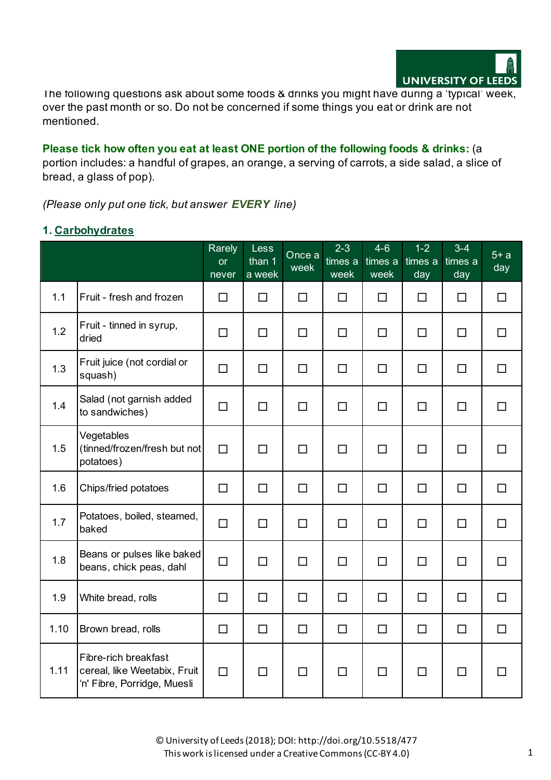

The following questions ask about some foods & drinks you might have during a 'typical' week, over the past month or so. Do not be concerned if some things you eat or drink are not mentioned.

**Please tick how often you eat at least ONE portion of the following foods & drinks:** (a portion includes: a handful of grapes, an orange, a serving of carrots, a side salad, a slice of bread, a glass of pop).

*(Please only put one tick, but answer EVERY line)*

### **1. Carbohydrates**

|      |                                                                                     | Rarely<br><b>or</b><br>never | <b>Less</b><br>than 1<br>a week | Once a<br>week | $2 - 3$<br>times a<br>week | $4 - 6$<br>times a<br>week | $1 - 2$<br>times a<br>day | $3 - 4$<br>times a<br>day | $5+ a$<br>day |
|------|-------------------------------------------------------------------------------------|------------------------------|---------------------------------|----------------|----------------------------|----------------------------|---------------------------|---------------------------|---------------|
| 1.1  | Fruit - fresh and frozen                                                            | □                            | $\Box$                          | $\Box$         | $\Box$                     | $\Box$                     | $\Box$                    | $\Box$                    | $\Box$        |
| 1.2  | Fruit - tinned in syrup,<br>dried                                                   | □                            | $\Box$                          | □              | □                          | $\Box$                     | □                         | □                         | $\Box$        |
| 1.3  | Fruit juice (not cordial or<br>squash)                                              | $\Box$                       | $\Box$                          | $\Box$         | $\Box$                     | $\Box$                     | $\Box$                    | $\Box$                    | $\Box$        |
| 1.4  | Salad (not garnish added<br>to sandwiches)                                          | $\Box$                       | $\Box$                          | $\Box$         | $\Box$                     | $\Box$                     | □                         | $\Box$                    | $\Box$        |
| 1.5  | Vegetables<br>(tinned/frozen/fresh but not<br>potatoes)                             | $\Box$                       | $\Box$                          | $\Box$         | $\Box$                     | $\Box$                     | $\Box$                    | $\Box$                    | $\Box$        |
| 1.6  | Chips/fried potatoes                                                                | $\Box$                       | $\Box$                          | $\Box$         | $\Box$                     | $\Box$                     | $\Box$                    | $\Box$                    | $\Box$        |
| 1.7  | Potatoes, boiled, steamed,<br>baked                                                 | $\Box$                       | $\Box$                          | $\Box$         | $\Box$                     | $\Box$                     | $\Box$                    | $\Box$                    | $\Box$        |
| 1.8  | Beans or pulses like baked<br>beans, chick peas, dahl                               | $\Box$                       | $\Box$                          | $\Box$         | $\Box$                     | $\Box$                     | $\Box$                    | $\Box$                    | $\Box$        |
| 1.9  | White bread, rolls                                                                  | □                            | $\Box$                          | $\Box$         | □                          | $\Box$                     | □                         | $\Box$                    | $\Box$        |
| 1.10 | Brown bread, rolls                                                                  | $\Box$                       | $\Box$                          | $\Box$         | $\Box$                     | $\Box$                     | $\Box$                    | $\Box$                    | $\Box$        |
| 1.11 | Fibre-rich breakfast<br>cereal, like Weetabix, Fruit<br>'n' Fibre, Porridge, Muesli | $\Box$                       | $\Box$                          | П              | $\Box$                     | $\Box$                     | □                         | $\Box$                    | П             |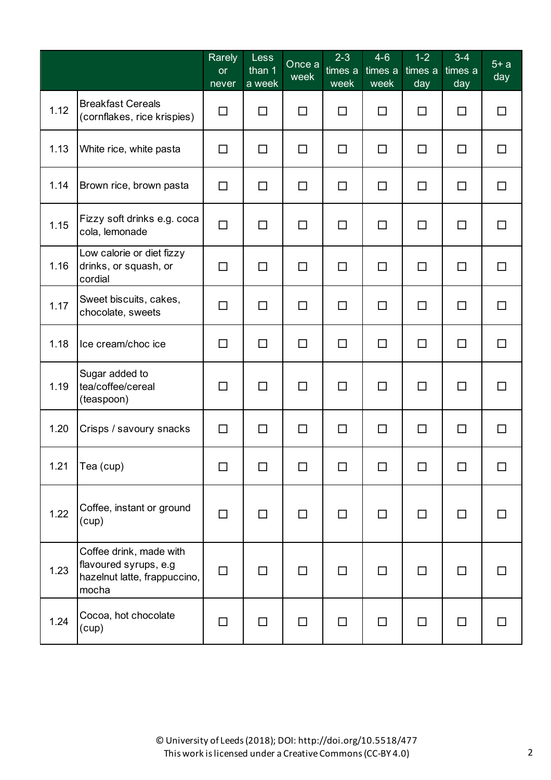|      |                                                                                           | Rarely<br><b>or</b><br>never | <b>Less</b><br>than 1<br>a week | Once a<br>week | $2 - 3$<br>times a<br>week | $4 - 6$<br>times a<br>week | $1 - 2$<br>times a<br>day | $3 - 4$<br>times a<br>day | $5+ a$<br>day |
|------|-------------------------------------------------------------------------------------------|------------------------------|---------------------------------|----------------|----------------------------|----------------------------|---------------------------|---------------------------|---------------|
| 1.12 | <b>Breakfast Cereals</b><br>(cornflakes, rice krispies)                                   | $\Box$                       | $\Box$                          | $\Box$         | □                          | $\Box$                     | □                         | □                         | $\Box$        |
| 1.13 | White rice, white pasta                                                                   | $\Box$                       | □                               | □              | □                          | $\Box$                     | □                         | □                         | $\Box$        |
| 1.14 | Brown rice, brown pasta                                                                   | $\Box$                       | $\Box$                          | $\Box$         | □                          | $\Box$                     | $\Box$                    | $\Box$                    | $\Box$        |
| 1.15 | Fizzy soft drinks e.g. coca<br>cola, lemonade                                             | $\Box$                       | $\Box$                          | $\Box$         | □                          | $\Box$                     | □                         | $\Box$                    | $\Box$        |
| 1.16 | Low calorie or diet fizzy<br>drinks, or squash, or<br>cordial                             | $\Box$                       | $\Box$                          | $\Box$         | $\Box$                     | $\Box$                     | □                         | $\Box$                    | $\Box$        |
| 1.17 | Sweet biscuits, cakes,<br>chocolate, sweets                                               | □                            | □                               | $\Box$         | $\Box$                     | $\Box$                     | □                         | $\Box$                    | $\Box$        |
| 1.18 | Ice cream/choc ice                                                                        | $\Box$                       | $\Box$                          | $\Box$         | □                          | $\Box$                     | □                         | □                         | $\Box$        |
| 1.19 | Sugar added to<br>tea/coffee/cereal<br>(teaspoon)                                         | □                            | $\Box$                          | $\Box$         | $\Box$                     | $\Box$                     | □                         | $\Box$                    | $\Box$        |
| 1.20 | Crisps / savoury snacks                                                                   | $\Box$                       | $\Box$                          | $\Box$         | $\Box$                     | $\Box$                     | □                         | $\Box$                    | □             |
| 1.21 | Tea (cup)                                                                                 | □                            | П                               | П              | □                          | □                          | □                         | □                         | □             |
| 1.22 | Coffee, instant or ground<br>(cup)                                                        | $\Box$                       | □                               | $\Box$         | □                          | $\Box$                     | □                         | $\Box$                    | П             |
| 1.23 | Coffee drink, made with<br>flavoured syrups, e.g<br>hazelnut latte, frappuccino,<br>mocha | $\Box$                       | □                               | □              | □                          | $\Box$                     | □                         | □                         | П             |
| 1.24 | Cocoa, hot chocolate<br>(cup)                                                             | $\Box$                       | $\Box$                          | $\Box$         | □                          | $\Box$                     | $\Box$                    | $\Box$                    | □             |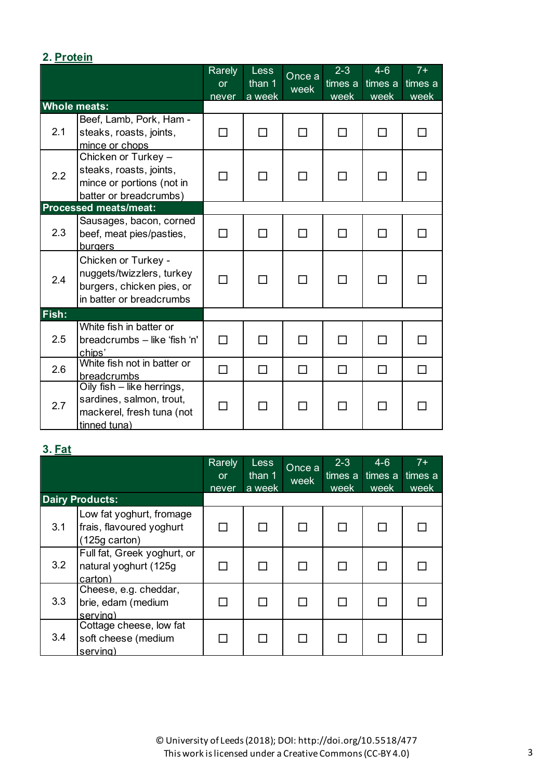## **2. Protein**

|       |                                                                                                           | Rarely<br><b>or</b><br>never | <b>Less</b><br>than 1<br>a week | Once a<br>week | $2 - 3$<br>times a<br>week | $4 - 6$<br>times a<br>week | $7+$<br>times a<br>week |
|-------|-----------------------------------------------------------------------------------------------------------|------------------------------|---------------------------------|----------------|----------------------------|----------------------------|-------------------------|
|       | <b>Whole meats:</b>                                                                                       |                              |                                 |                |                            |                            |                         |
| 2.1   | Beef, Lamb, Pork, Ham -<br>steaks, roasts, joints,<br>mince or chops                                      | П                            | П                               | П              | П                          | П                          |                         |
| 2.2   | Chicken or Turkey -<br>steaks, roasts, joints,<br>mince or portions (not in<br>batter or breadcrumbs)     | П                            | П                               | П              | H                          | П                          |                         |
|       | <b>Processed meats/meat:</b>                                                                              |                              |                                 |                |                            |                            |                         |
| 2.3   | Sausages, bacon, corned<br>beef, meat pies/pasties,<br><b>burgers</b>                                     | П                            | П                               | П              | П                          | П                          |                         |
| 2.4   | Chicken or Turkey -<br>nuggets/twizzlers, turkey<br>burgers, chicken pies, or<br>in batter or breadcrumbs | П                            | П                               | П              | ⊓                          | П                          |                         |
| Fish: |                                                                                                           |                              |                                 |                |                            |                            |                         |
| 2.5   | White fish in batter or<br>breadcrumbs - like 'fish 'n'<br>chips'                                         | П                            | П                               | П              | П                          | П                          |                         |
| 2.6   | White fish not in batter or<br>breadcrumbs                                                                | $\Box$                       | П                               | П              | П                          | П                          |                         |
| 2.7   | Oily fish - like herrings,<br>sardines, salmon, trout,<br>mackerel, fresh tuna (not<br>tinned tuna)       | П                            | П                               | П              | П                          | П                          |                         |

# **3. Fat**

|     |                                                                               | Rarely<br><b>or</b> | Less<br>than 1 | Once a | $2 - 3$<br>times a | $4 - 6$<br>times a | $7+$<br>times a |
|-----|-------------------------------------------------------------------------------|---------------------|----------------|--------|--------------------|--------------------|-----------------|
|     |                                                                               | never               | a week         | week   | week               | week               | week            |
|     | <b>Dairy Products:</b>                                                        |                     |                |        |                    |                    |                 |
| 3.1 | Low fat yoghurt, fromage<br>frais, flavoured yoghurt<br>$(125q \text{ cart})$ |                     |                |        |                    |                    |                 |
| 3.2 | Full fat, Greek yoghurt, or<br>natural yoghurt (125g<br>carton)               |                     |                |        |                    |                    |                 |
| 3.3 | Cheese, e.g. cheddar,<br>brie, edam (medium<br>serving)                       |                     |                |        |                    |                    |                 |
| 3.4 | Cottage cheese, low fat<br>soft cheese (medium<br>serving)                    |                     |                |        |                    |                    |                 |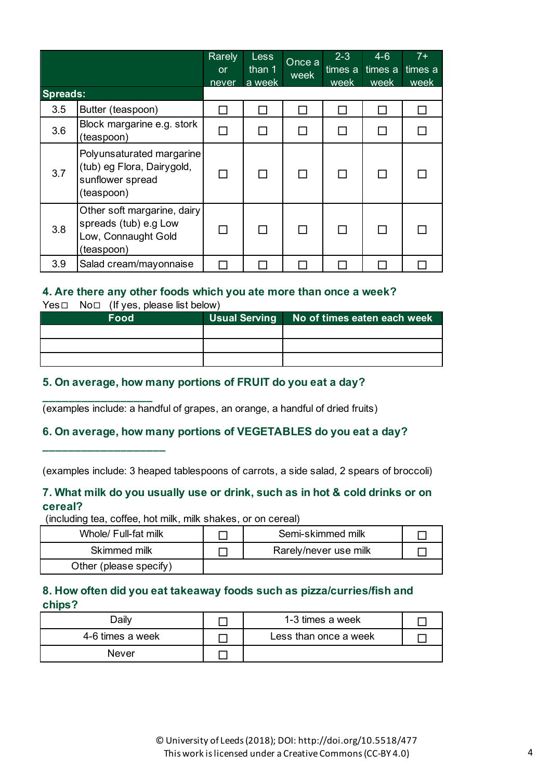| <b>Spreads:</b> |                                                                                           | Rarely<br><b>or</b><br>never | <b>Less</b><br>than 1<br>a week | Once a<br>week | $2 - 3$<br>times a<br>week | $4 - 6$<br>times a<br>week | $7+$<br>times a<br>week |
|-----------------|-------------------------------------------------------------------------------------------|------------------------------|---------------------------------|----------------|----------------------------|----------------------------|-------------------------|
| 3.5             | Butter (teaspoon)                                                                         |                              |                                 |                |                            |                            |                         |
| 3.6             | Block margarine e.g. stork<br>(teaspoon)                                                  | П                            |                                 |                | $\mathbf{L}$               |                            |                         |
| 3.7             | Polyunsaturated margarine<br>(tub) eg Flora, Dairygold,<br>sunflower spread<br>(teaspoon) | П                            |                                 |                |                            |                            |                         |
| 3.8             | Other soft margarine, dairy<br>spreads (tub) e.g Low<br>Low, Connaught Gold<br>(teaspoon) |                              |                                 |                |                            |                            |                         |
| 3.9             | Salad cream/mayonnaise                                                                    |                              |                                 |                |                            |                            |                         |

#### **4. Are there any other foods which you ate more than once a week?**

Yes□ No□ (If yes, please list below)

**\_\_\_\_\_\_\_\_\_\_\_\_\_\_\_\_\_**

**\_\_\_\_\_\_\_\_\_\_\_\_\_\_\_\_\_\_\_**

| <b>Food</b> | <b>Usual Serving</b> | No of times eaten each week |
|-------------|----------------------|-----------------------------|
|             |                      |                             |
|             |                      |                             |
|             |                      |                             |

#### **5. On average, how many portions of FRUIT do you eat a day?**

(examples include: a handful of grapes, an orange, a handful of dried fruits)

#### **6. On average, how many portions of VEGETABLES do you eat a day?**

(examples include: 3 heaped tablespoons of carrots, a side salad, 2 spears of broccoli)

#### **7. What milk do you usually use or drink, such as in hot & cold drinks or on cereal?**

(including tea, coffee, hot milk, milk shakes, or on cereal)

| Whole/ Full-fat milk   | Semi-skimmed milk     |  |
|------------------------|-----------------------|--|
| Skimmed milk           | Rarely/never use milk |  |
| Other (please specify) |                       |  |

#### **8. How often did you eat takeaway foods such as pizza/curries/fish and chips?**

| Jailv            | 1-3 times a week      |  |
|------------------|-----------------------|--|
| 4-6 times a week | Less than once a week |  |
| <b>Never</b>     |                       |  |